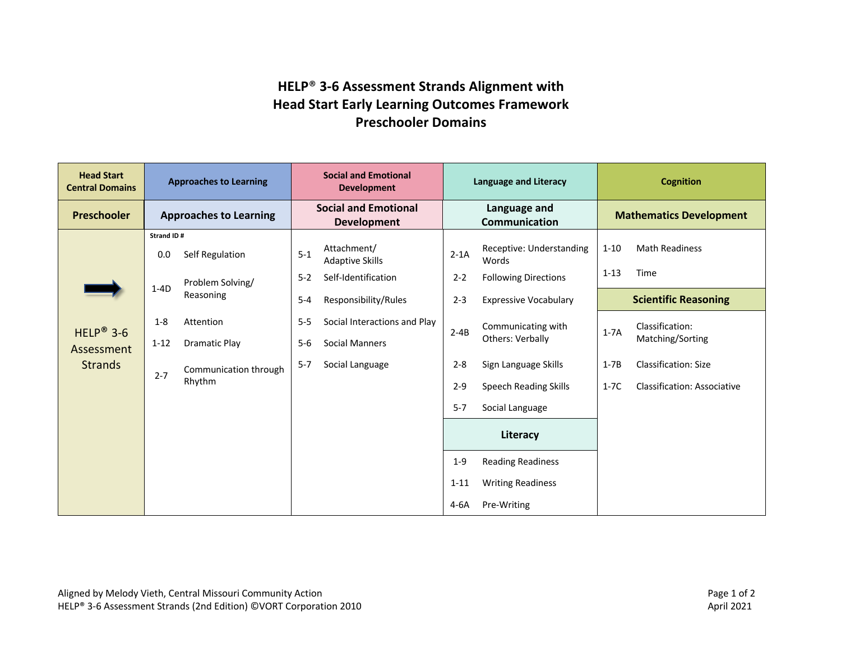## **HELP**® **3-6 Assessment Strands Alignment with Head Start Early Learning Outcomes Framework Preschooler Domains**

| <b>Head Start</b><br><b>Central Domains</b>           | <b>Approaches to Learning</b> |                                 | <b>Social and Emotional</b><br><b>Development</b> |                                       | <b>Language and Literacy</b>                              |                                   | <b>Cognition</b>               |                                    |
|-------------------------------------------------------|-------------------------------|---------------------------------|---------------------------------------------------|---------------------------------------|-----------------------------------------------------------|-----------------------------------|--------------------------------|------------------------------------|
| <b>Preschooler</b>                                    | <b>Approaches to Learning</b> |                                 | <b>Social and Emotional</b><br><b>Development</b> |                                       | Language and<br>Communication                             |                                   | <b>Mathematics Development</b> |                                    |
| HELP <sup>®</sup> 3-6<br>Assessment<br><b>Strands</b> | Strand ID#                    |                                 |                                                   |                                       |                                                           |                                   |                                |                                    |
|                                                       | 0.0                           | Self Regulation                 | $5-1$                                             | Attachment/<br><b>Adaptive Skills</b> | $2-1A$                                                    | Receptive: Understanding<br>Words | $1 - 10$                       | <b>Math Readiness</b>              |
|                                                       | $1-4D$                        | Problem Solving/<br>Reasoning   | $5 - 2$                                           | Self-Identification                   | $2 - 2$                                                   | <b>Following Directions</b>       | $1 - 13$                       | Time                               |
|                                                       |                               |                                 | $5-4$                                             | Responsibility/Rules                  | $2 - 3$                                                   | <b>Expressive Vocabulary</b>      |                                | <b>Scientific Reasoning</b>        |
|                                                       | $1 - 8$                       | Attention                       | $5-5$                                             | Social Interactions and Play          | Communicating with<br>$2 - 4B$<br><b>Others: Verbally</b> |                                   | $1-7A$                         | Classification:                    |
|                                                       | $1 - 12$                      | <b>Dramatic Play</b>            | $5-6$                                             | Social Manners                        |                                                           |                                   | Matching/Sorting               |                                    |
|                                                       | $2 - 7$                       | Communication through<br>Rhythm | $5 - 7$                                           | Social Language                       | $2 - 8$                                                   | Sign Language Skills              | $1-7B$                         | <b>Classification: Size</b>        |
|                                                       |                               |                                 |                                                   |                                       | $2 - 9$                                                   | <b>Speech Reading Skills</b>      | $1-7C$                         | <b>Classification: Associative</b> |
|                                                       |                               |                                 |                                                   |                                       | $5 - 7$                                                   | Social Language                   |                                |                                    |
|                                                       |                               |                                 |                                                   |                                       | Literacy                                                  |                                   |                                |                                    |
|                                                       |                               |                                 |                                                   |                                       | $1 - 9$                                                   | <b>Reading Readiness</b>          |                                |                                    |
|                                                       |                               |                                 |                                                   |                                       | $1 - 11$                                                  | <b>Writing Readiness</b>          |                                |                                    |
|                                                       |                               |                                 |                                                   |                                       | $4-6A$                                                    | Pre-Writing                       |                                |                                    |